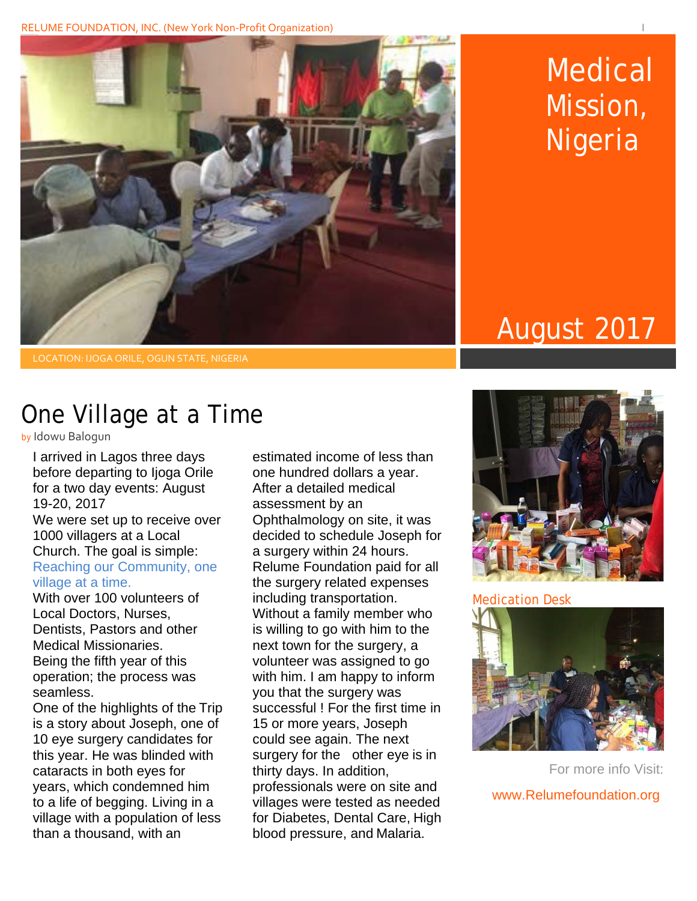RELUME FOUNDATION, INC. (New York Non-Profit Organization)



## **Medical** Mission, **Nigeria**

## August 2017

## One Village at a Time

by Idowu Balogun

I arrived in Lagos three days before departing to Ijoga Orile for a two day events: August 19-20, 2017

We were set up to receive over 1000 villagers at a Local Church. The goal is simple: Reaching our Community, one village at a time.

With over 100 volunteers of Local Doctors, Nurses, Dentists, Pastors and other Medical Missionaries. Being the fifth year of this operation; the process was seamless.

One of the highlights of the Trip is a story about Joseph, one of 10 eye surgery candidates for this year. He was blinded with cataracts in both eyes for years, which condemned him to a life of begging. Living in a village with a population of less than a thousand, with an

estimated income of less than one hundred dollars a year. After a detailed medical assessment by an Ophthalmology on site, it was decided to schedule Joseph for a surgery within 24 hours. Relume Foundation paid for all the surgery related expenses including transportation. Without a family member who is willing to go with him to the next town for the surgery, a volunteer was assigned to go with him. I am happy to inform you that the surgery was successful ! For the first time in 15 or more years, Joseph could see again. The next surgery for the other eye is in thirty days. In addition, professionals were on site and villages were tested as needed for Diabetes, Dental Care, High blood pressure, and Malaria.



Medication Desk



For more info Visit: [www.Relumefoundation.org](http://www.relumefoundation.org/)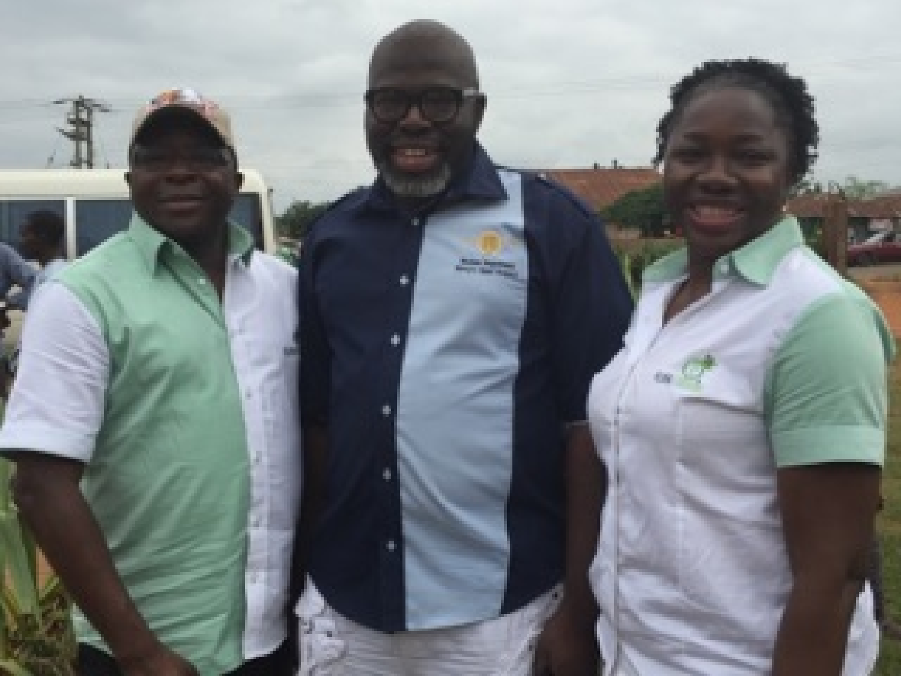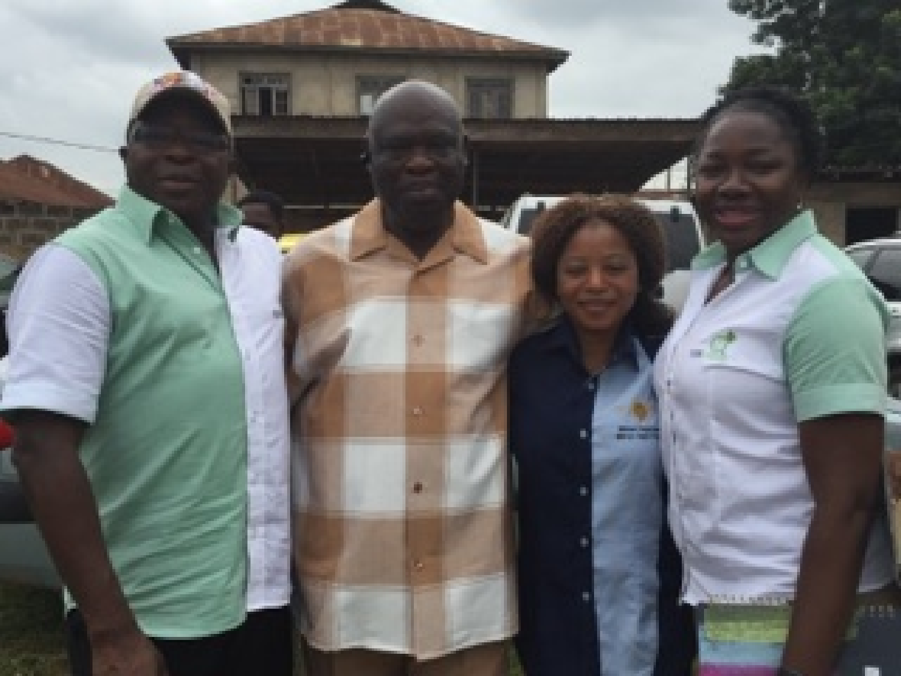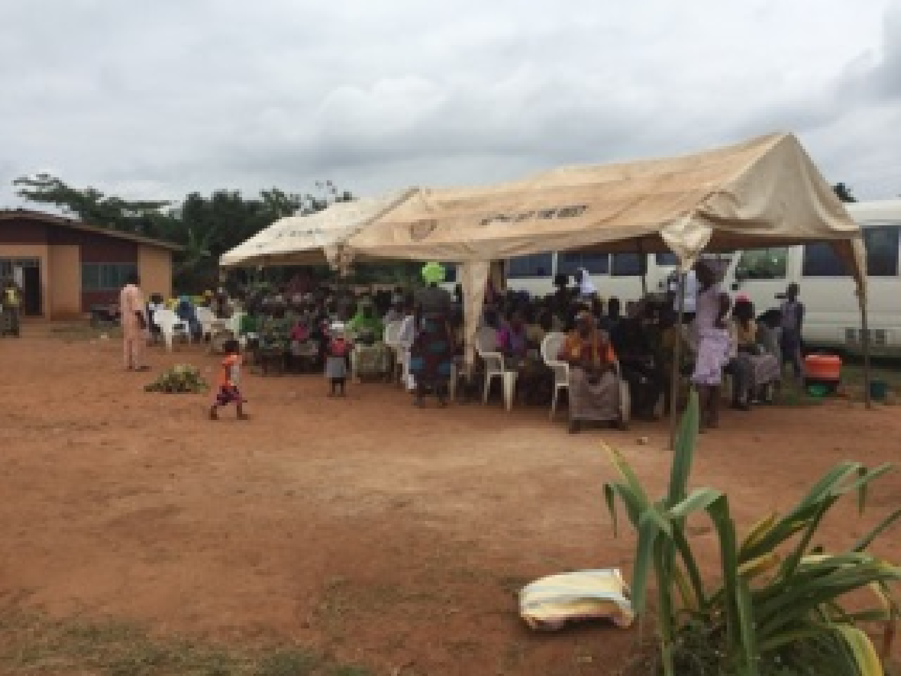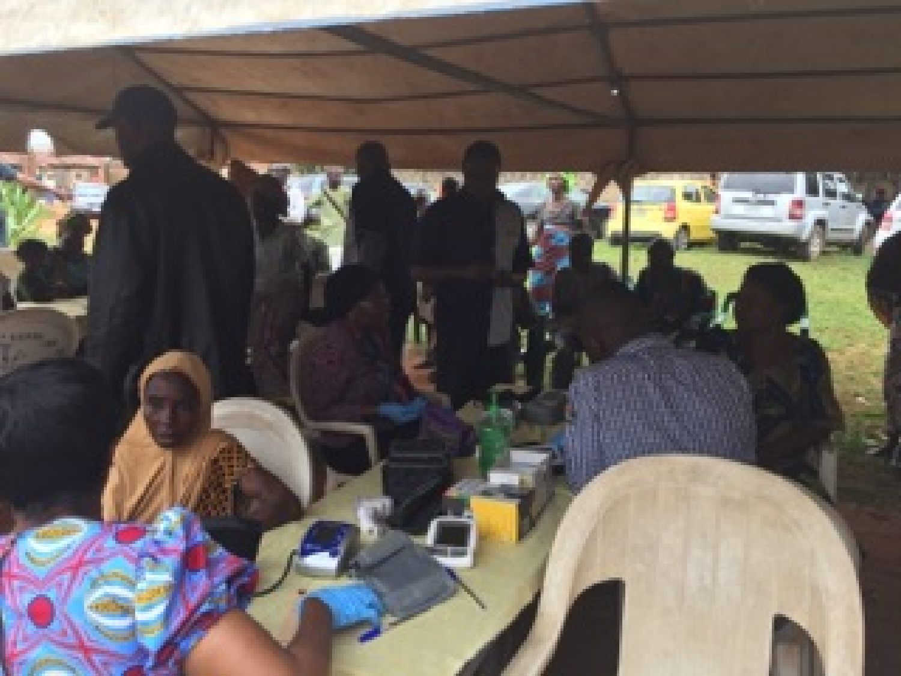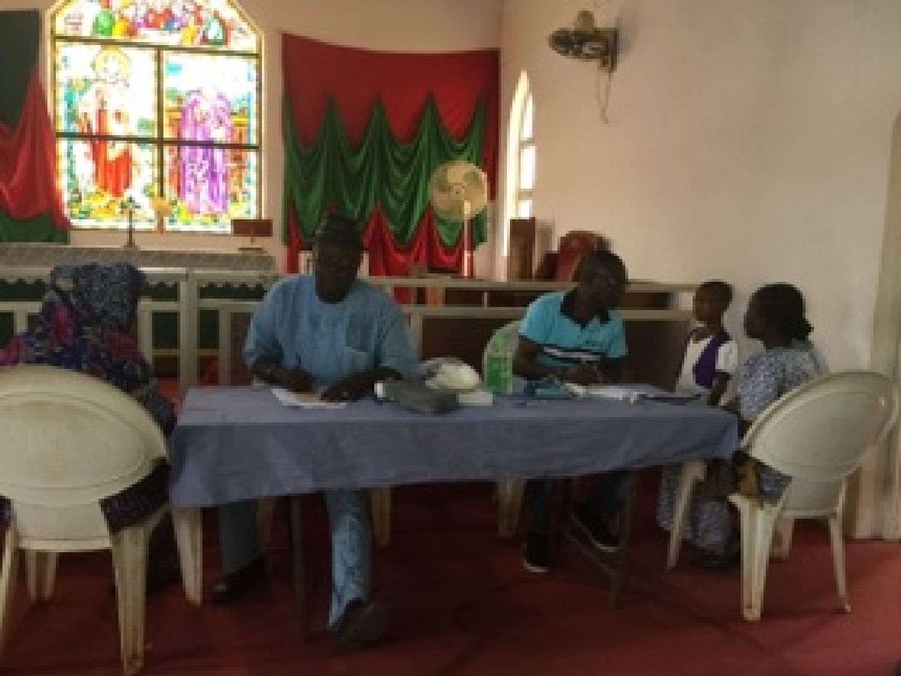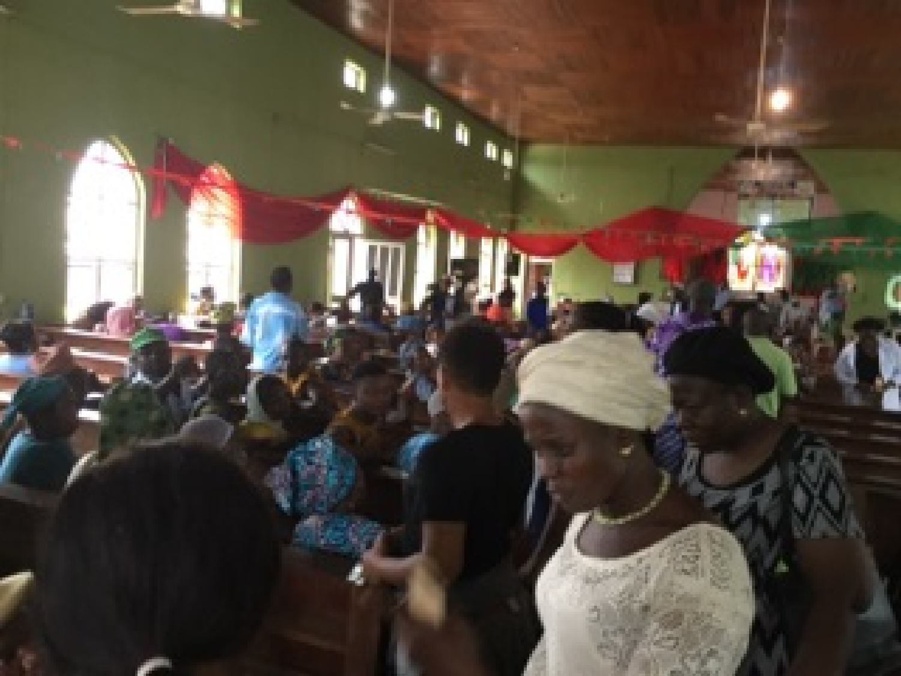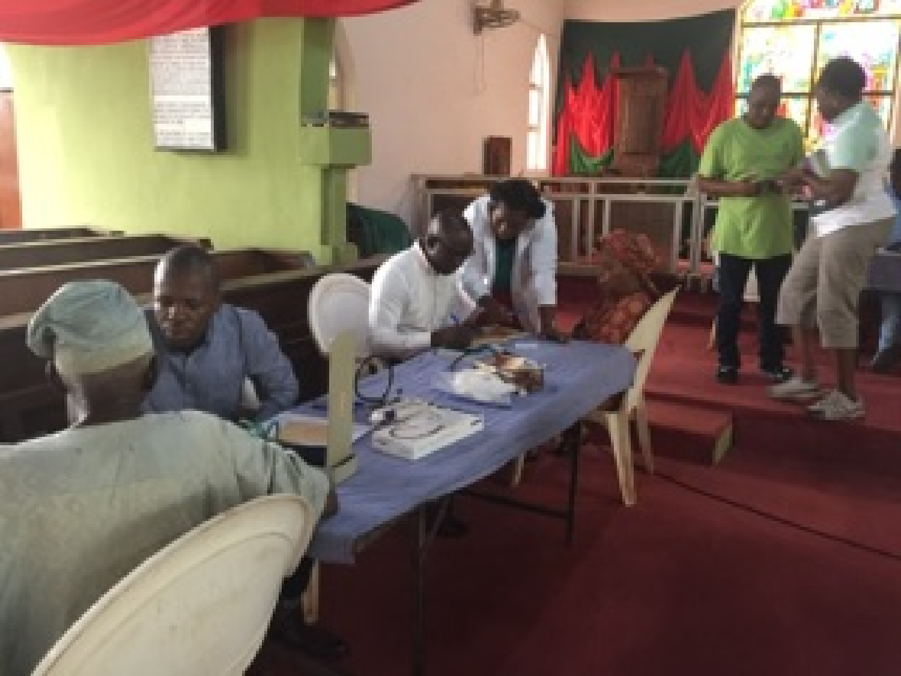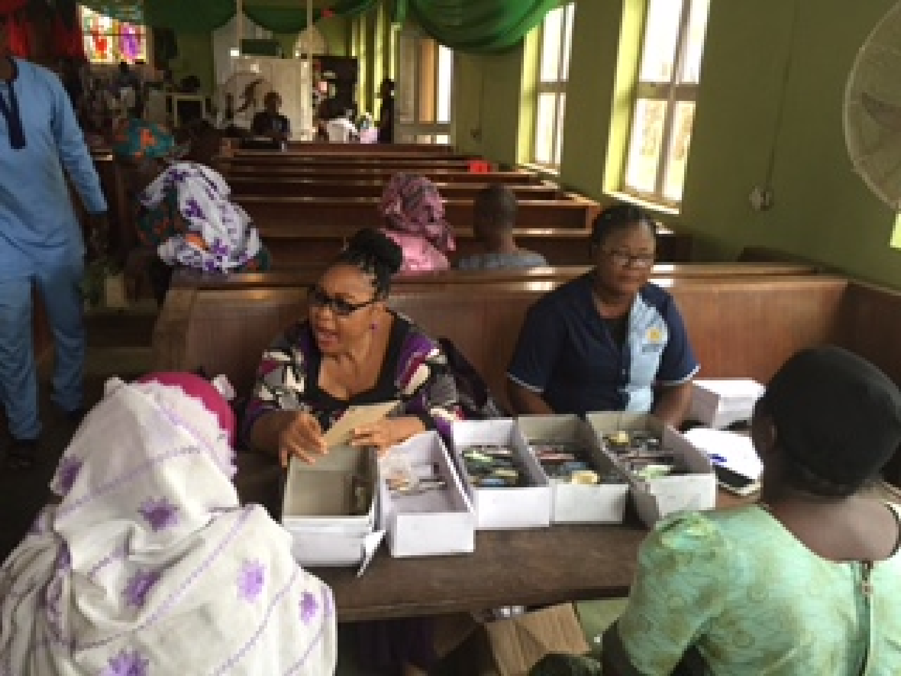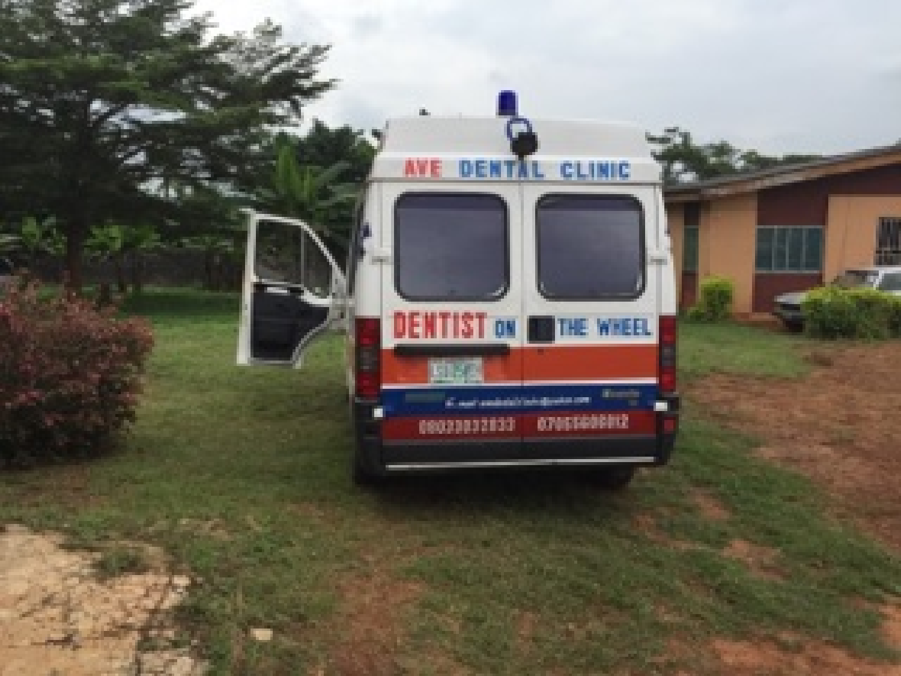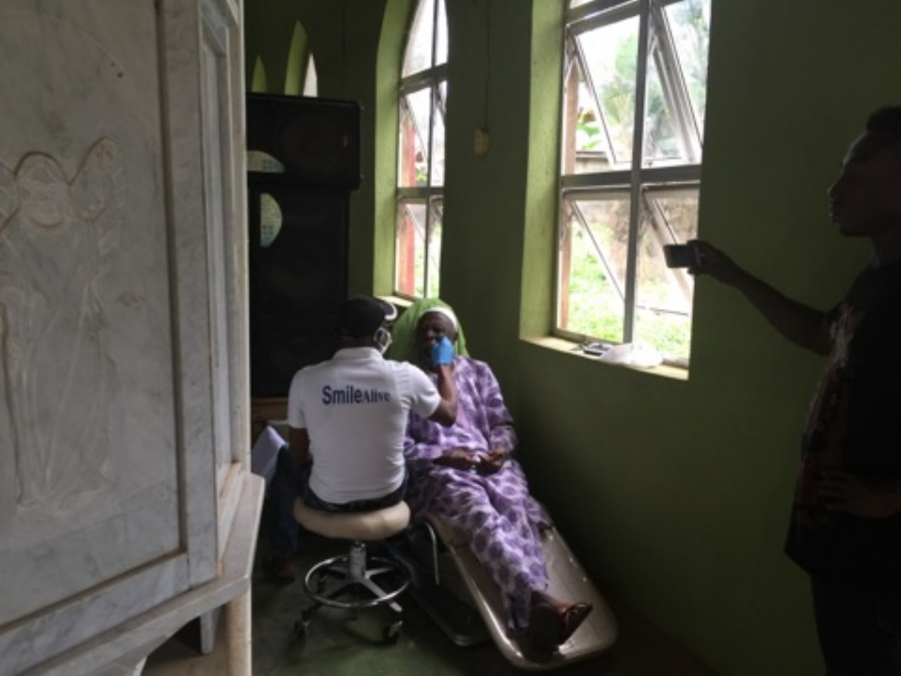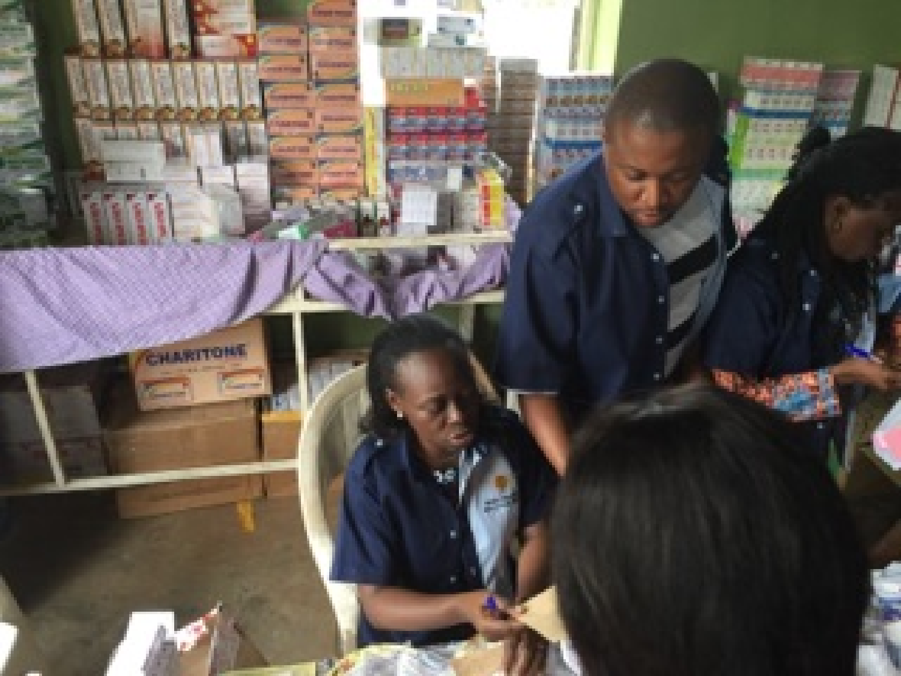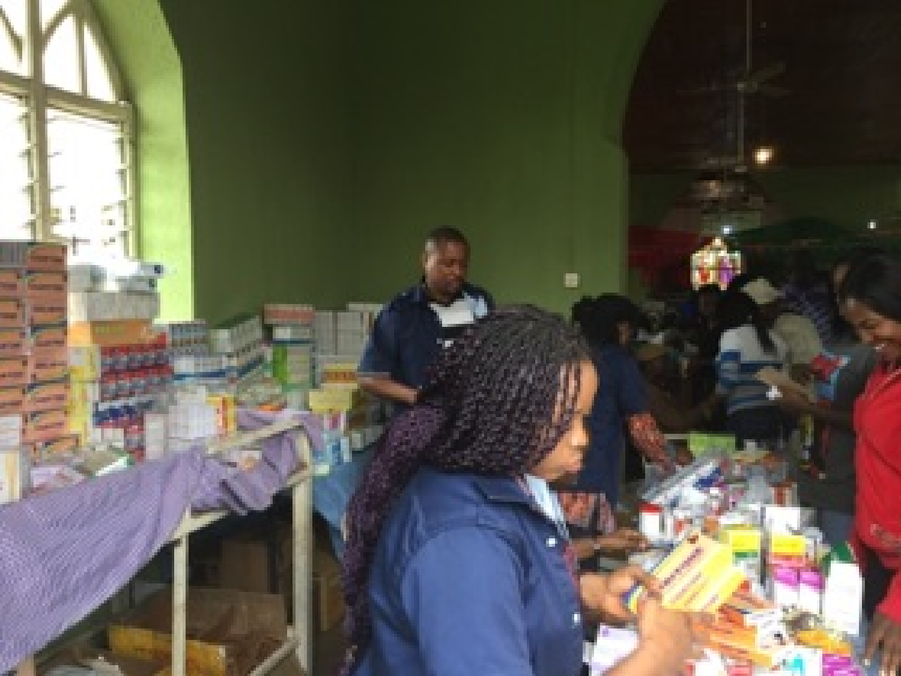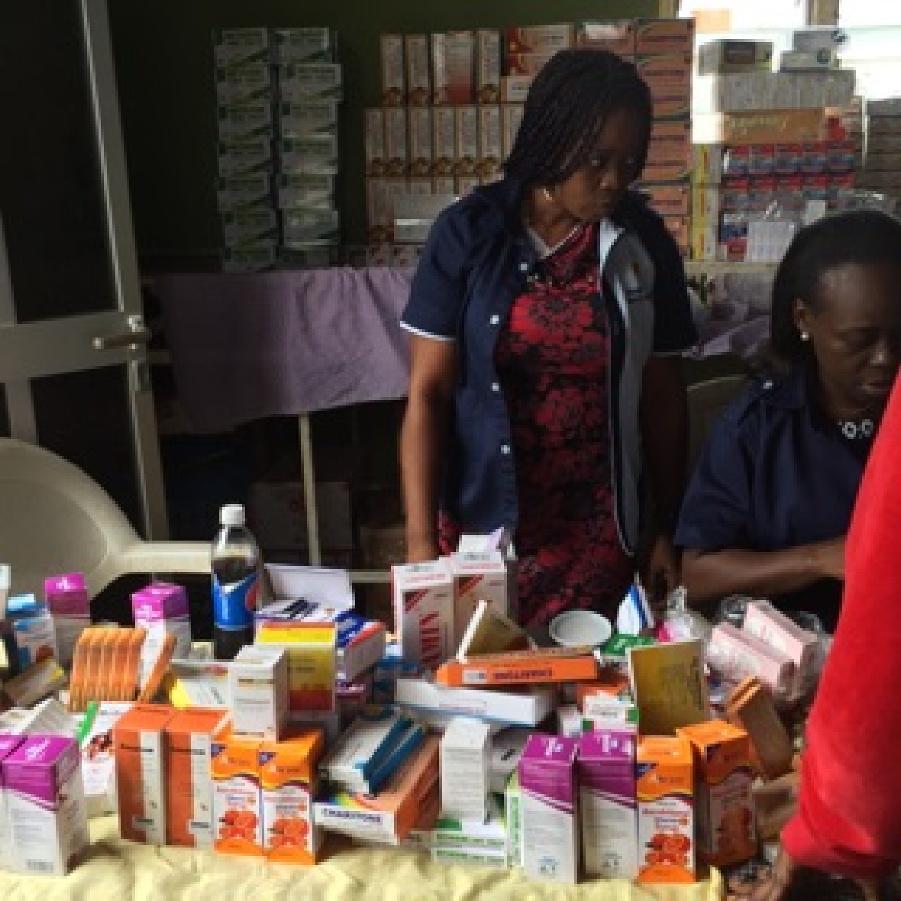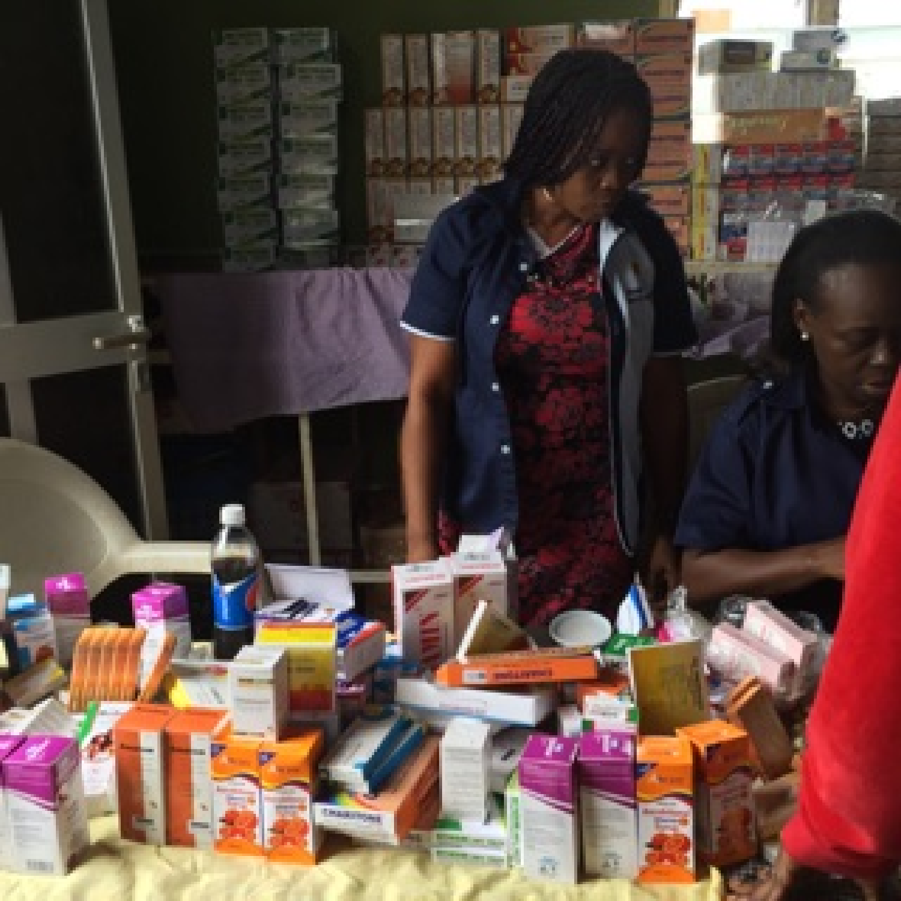